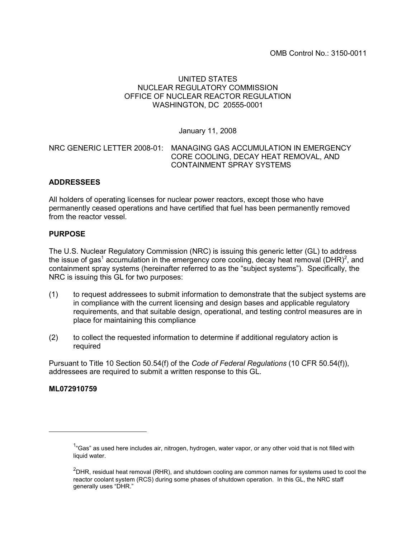### UNITED STATES NUCLEAR REGULATORY COMMISSION OFFICE OF NUCLEAR REACTOR REGULATION WASHINGTON, DC 20555-0001

## January 11, 2008

## NRC GENERIC LETTER 2008-01: MANAGING GAS ACCUMULATION IN EMERGENCY CORE COOLING, DECAY HEAT REMOVAL, AND CONTAINMENT SPRAY SYSTEMS

## **ADDRESSEES**

All holders of operating licenses for nuclear power reactors, except those who have permanently ceased operations and have certified that fuel has been permanently removed from the reactor vessel.

## **PURPOSE**

The U.S. Nuclear Regulatory Commission (NRC) is issuing this generic letter (GL) to address the issue of gas<sup>1</sup> accumulation in the emergency core cooling, decay heat removal (DHR)<sup>2</sup>, and containment spray systems (hereinafter referred to as the "subject systems"). Specifically, the NRC is issuing this GL for two purposes:

- (1) to request addressees to submit information to demonstrate that the subject systems are in compliance with the current licensing and design bases and applicable regulatory requirements, and that suitable design, operational, and testing control measures are in place for maintaining this compliance
- (2) to collect the requested information to determine if additional regulatory action is required

Pursuant to Title 10 Section 50.54(f) of the *Code of Federal Regulations* (10 CFR 50.54(f)), addressees are required to submit a written response to this GL.

## **ML072910759**

-

<sup>&</sup>lt;sup>1</sup>"Gas" as used here includes air, nitrogen, hydrogen, water vapor, or any other void that is not filled with liquid water.

 $^{2}$ DHR, residual heat removal (RHR), and shutdown cooling are common names for systems used to cool the reactor coolant system (RCS) during some phases of shutdown operation. In this GL, the NRC staff generally uses "DHR."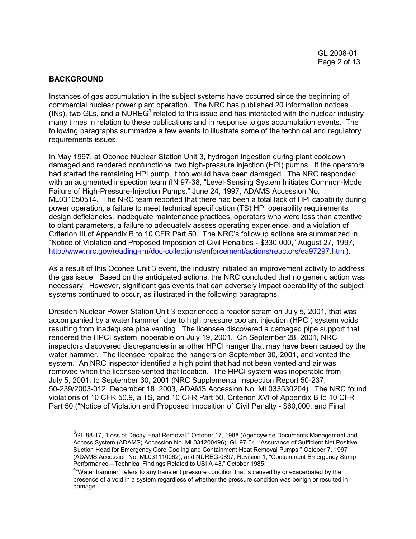### **BACKGROUND**

-

Instances of gas accumulation in the subject systems have occurred since the beginning of commercial nuclear power plant operation. The NRC has published 20 information notices (INs), two GLs, and a NUREG<sup>3</sup> related to this issue and has interacted with the nuclear industry many times in relation to these publications and in response to gas accumulation events. The following paragraphs summarize a few events to illustrate some of the technical and regulatory requirements issues.

In May 1997, at Oconee Nuclear Station Unit 3, hydrogen ingestion during plant cooldown damaged and rendered nonfunctional two high-pressure injection (HPI) pumps. If the operators had started the remaining HPI pump, it too would have been damaged. The NRC responded with an augmented inspection team (IN 97-38, "Level-Sensing System Initiates Common-Mode Failure of High-Pressure-Injection Pumps," June 24, 1997, ADAMS Accession No. ML031050514. The NRC team reported that there had been a total lack of HPI capability during power operation, a failure to meet technical specification (TS) HPI operability requirements, design deficiencies, inadequate maintenance practices, operators who were less than attentive to plant parameters, a failure to adequately assess operating experience, and a violation of Criterion III of Appendix B to 10 CFR Part 50. The NRC's followup actions are summarized in "Notice of Violation and Proposed Imposition of Civil Penalties - \$330,000," August 27, 1997, http://www.nrc.gov/reading-rm/doc-collections/enforcement/actions/reactors/ea97297.html).

As a result of this Oconee Unit 3 event, the industry initiated an improvement activity to address the gas issue. Based on the anticipated actions, the NRC concluded that no generic action was necessary. However, significant gas events that can adversely impact operability of the subject systems continued to occur, as illustrated in the following paragraphs.

Dresden Nuclear Power Station Unit 3 experienced a reactor scram on July 5, 2001, that was accompanied by a water hammer<sup>4</sup> due to high pressure coolant injection (HPCI) system voids resulting from inadequate pipe venting. The licensee discovered a damaged pipe support that rendered the HPCI system inoperable on July 19, 2001. On September 28, 2001, NRC inspectors discovered discrepancies in another HPCI hanger that may have been caused by the water hammer. The licensee repaired the hangers on September 30, 2001, and vented the system. An NRC inspector identified a high point that had not been vented and air was removed when the licensee vented that location. The HPCI system was inoperable from July 5, 2001, to September 30, 2001 (NRC Supplemental Inspection Report 50-237, 50-239/2003-012, December 18, 2003, ADAMS Accession No. ML033530204). The NRC found violations of 10 CFR 50.9, a TS, and 10 CFR Part 50, Criterion XVI of Appendix B to 10 CFR Part 50 ("Notice of Violation and Proposed Imposition of Civil Penalty - \$60,000, and Final

<sup>&</sup>lt;sup>3</sup>GL 88-17, "Loss of Decay Heat Removal," October 17, 1988 (Agencywide Documents Management and Access System (ADAMS) Accession No. ML031200496); GL 97-04, "Assurance of Sufficient Net Positive Suction Head for Emergency Core Cooling and Containment Heat Removal Pumps," October 7, 1997 (ADAMS Accession No. ML031110062); and NUREG-0897, Revision 1, "Containment Emergency Sump Performance—Technical Findings Related to USI A-43," October 1985.

<sup>&</sup>lt;sup>4</sup> "Water hammer" refers to any transient pressure condition that is caused by or exacerbated by the presence of a void in a system regardless of whether the pressure condition was benign or resulted in damage.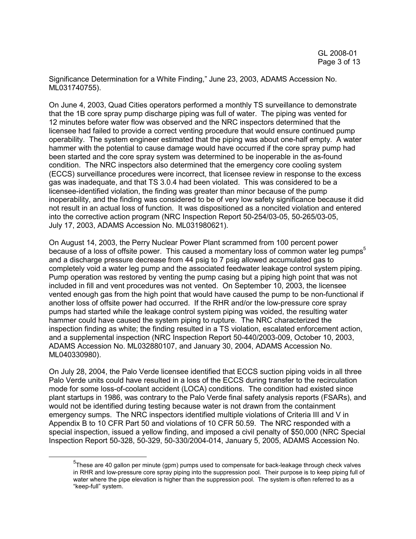Significance Determination for a White Finding," June 23, 2003, ADAMS Accession No. ML031740755).

On June 4, 2003, Quad Cities operators performed a monthly TS surveillance to demonstrate that the 1B core spray pump discharge piping was full of water. The piping was vented for 12 minutes before water flow was observed and the NRC inspectors determined that the licensee had failed to provide a correct venting procedure that would ensure continued pump operability. The system engineer estimated that the piping was about one-half empty. A water hammer with the potential to cause damage would have occurred if the core spray pump had been started and the core spray system was determined to be inoperable in the as-found condition. The NRC inspectors also determined that the emergency core cooling system (ECCS) surveillance procedures were incorrect, that licensee review in response to the excess gas was inadequate, and that TS 3.0.4 had been violated. This was considered to be a licensee-identified violation, the finding was greater than minor because of the pump inoperability, and the finding was considered to be of very low safety significance because it did not result in an actual loss of function. It was dispositioned as a noncited violation and entered into the corrective action program (NRC Inspection Report 50-254/03-05, 50-265/03-05, July 17, 2003, ADAMS Accession No. ML031980621).

On August 14, 2003, the Perry Nuclear Power Plant scrammed from 100 percent power because of a loss of offsite power. This caused a momentary loss of common water leg pumps $<sup>5</sup>$ </sup> and a discharge pressure decrease from 44 psig to 7 psig allowed accumulated gas to completely void a water leg pump and the associated feedwater leakage control system piping. Pump operation was restored by venting the pump casing but a piping high point that was not included in fill and vent procedures was not vented. On September 10, 2003, the licensee vented enough gas from the high point that would have caused the pump to be non-functional if another loss of offsite power had occurred. If the RHR and/or the low-pressure core spray pumps had started while the leakage control system piping was voided, the resulting water hammer could have caused the system piping to rupture. The NRC characterized the inspection finding as white; the finding resulted in a TS violation, escalated enforcement action, and a supplemental inspection (NRC Inspection Report 50-440/2003-009, October 10, 2003, ADAMS Accession No. ML032880107, and January 30, 2004, ADAMS Accession No. ML040330980).

On July 28, 2004, the Palo Verde licensee identified that ECCS suction piping voids in all three Palo Verde units could have resulted in a loss of the ECCS during transfer to the recirculation mode for some loss-of-coolant accident (LOCA) conditions. The condition had existed since plant startups in 1986, was contrary to the Palo Verde final safety analysis reports (FSARs), and would not be identified during testing because water is not drawn from the containment emergency sumps. The NRC inspectors identified multiple violations of Criteria III and V in Appendix B to 10 CFR Part 50 and violations of 10 CFR 50.59. The NRC responded with a special inspection, issued a yellow finding, and imposed a civil penalty of \$50,000 (NRC Special Inspection Report 50-328, 50-329, 50-330/2004-014, January 5, 2005, ADAMS Accession No.

 $\frac{1}{5}$  $5$ These are 40 gallon per minute (gpm) pumps used to compensate for back-leakage through check valves in RHR and low-pressure core spray piping into the suppression pool. Their purpose is to keep piping full of water where the pipe elevation is higher than the suppression pool. The system is often referred to as a "keep-full" system.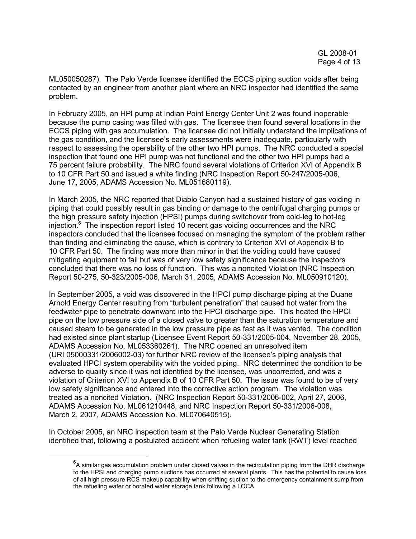ML050050287). The Palo Verde licensee identified the ECCS piping suction voids after being contacted by an engineer from another plant where an NRC inspector had identified the same problem.

In February 2005, an HPI pump at Indian Point Energy Center Unit 2 was found inoperable because the pump casing was filled with gas. The licensee then found several locations in the ECCS piping with gas accumulation. The licensee did not initially understand the implications of the gas condition, and the licensee's early assessments were inadequate, particularly with respect to assessing the operability of the other two HPI pumps. The NRC conducted a special inspection that found one HPI pump was not functional and the other two HPI pumps had a 75 percent failure probability. The NRC found several violations of Criterion XVI of Appendix B to 10 CFR Part 50 and issued a white finding (NRC Inspection Report 50-247/2005-006, June 17, 2005, ADAMS Accession No. ML051680119).

In March 2005, the NRC reported that Diablo Canyon had a sustained history of gas voiding in piping that could possibly result in gas binding or damage to the centrifugal charging pumps or the high pressure safety injection (HPSI) pumps during switchover from cold-leg to hot-leg injection. $6$  The inspection report listed 10 recent gas voiding occurrences and the NRC inspectors concluded that the licensee focused on managing the symptom of the problem rather than finding and eliminating the cause, which is contrary to Criterion XVI of Appendix B to 10 CFR Part 50. The finding was more than minor in that the voiding could have caused mitigating equipment to fail but was of very low safety significance because the inspectors concluded that there was no loss of function. This was a noncited Violation (NRC Inspection Report 50-275, 50-323/2005-006, March 31, 2005, ADAMS Accession No. ML050910120).

In September 2005, a void was discovered in the HPCI pump discharge piping at the Duane Arnold Energy Center resulting from "turbulent penetration" that caused hot water from the feedwater pipe to penetrate downward into the HPCI discharge pipe. This heated the HPCI pipe on the low pressure side of a closed valve to greater than the saturation temperature and caused steam to be generated in the low pressure pipe as fast as it was vented. The condition had existed since plant startup (Licensee Event Report 50-331/2005-004, November 28, 2005, ADAMS Accession No. ML053360261). The NRC opened an unresolved item (URI 05000331/2006002-03) for further NRC review of the licensee's piping analysis that evaluated HPCI system operability with the voided piping. NRC determined the condition to be adverse to quality since it was not identified by the licensee, was uncorrected, and was a violation of Criterion XVI to Appendix B of 10 CFR Part 50. The issue was found to be of very low safety significance and entered into the corrective action program. The violation was treated as a noncited Violation. (NRC Inspection Report 50-331/2006-002, April 27, 2006, ADAMS Accession No. ML061210448, and NRC Inspection Report 50-331/2006-008, March 2, 2007, ADAMS Accession No. ML070640515).

In October 2005, an NRC inspection team at the Palo Verde Nuclear Generating Station identified that, following a postulated accident when refueling water tank (RWT) level reached

 <sup>6</sup>  ${}^{6}$ A similar gas accumulation problem under closed valves in the recirculation piping from the DHR discharge to the HPSI and charging pump suctions has occurred at several plants. This has the potential to cause loss of all high pressure RCS makeup capability when shifting suction to the emergency containment sump from the refueling water or borated water storage tank following a LOCA.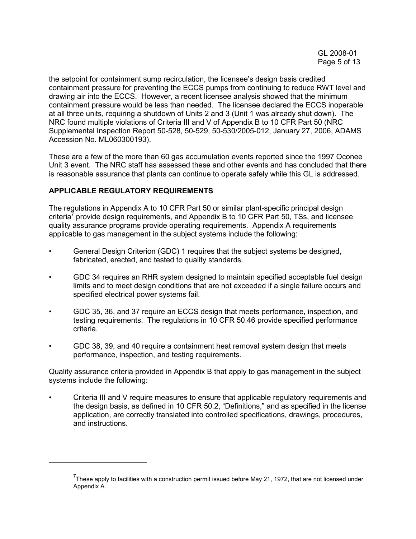the setpoint for containment sump recirculation, the licensee's design basis credited containment pressure for preventing the ECCS pumps from continuing to reduce RWT level and drawing air into the ECCS. However, a recent licensee analysis showed that the minimum containment pressure would be less than needed. The licensee declared the ECCS inoperable at all three units, requiring a shutdown of Units 2 and 3 (Unit 1 was already shut down). The NRC found multiple violations of Criteria III and V of Appendix B to 10 CFR Part 50 (NRC Supplemental Inspection Report 50-528, 50-529, 50-530/2005-012, January 27, 2006, ADAMS Accession No. ML060300193).

These are a few of the more than 60 gas accumulation events reported since the 1997 Oconee Unit 3 event. The NRC staff has assessed these and other events and has concluded that there is reasonable assurance that plants can continue to operate safely while this GL is addressed.

# **APPLICABLE REGULATORY REQUIREMENTS**

-

The regulations in Appendix A to 10 CFR Part 50 or similar plant-specific principal design criteria<sup>7</sup> provide design requirements, and Appendix B to 10 CFR Part 50, TSs, and licensee quality assurance programs provide operating requirements. Appendix A requirements applicable to gas management in the subject systems include the following:

- General Design Criterion (GDC) 1 requires that the subject systems be designed, fabricated, erected, and tested to quality standards.
- GDC 34 requires an RHR system designed to maintain specified acceptable fuel design limits and to meet design conditions that are not exceeded if a single failure occurs and specified electrical power systems fail.
- GDC 35, 36, and 37 require an ECCS design that meets performance, inspection, and testing requirements. The regulations in 10 CFR 50.46 provide specified performance criteria.
- GDC 38, 39, and 40 require a containment heat removal system design that meets performance, inspection, and testing requirements.

Quality assurance criteria provided in Appendix B that apply to gas management in the subject systems include the following:

• Criteria III and V require measures to ensure that applicable regulatory requirements and the design basis, as defined in 10 CFR 50.2, "Definitions," and as specified in the license application, are correctly translated into controlled specifications, drawings, procedures, and instructions.

<sup>&</sup>lt;sup>7</sup>These apply to facilities with a construction permit issued before May 21, 1972, that are not licensed under Appendix A.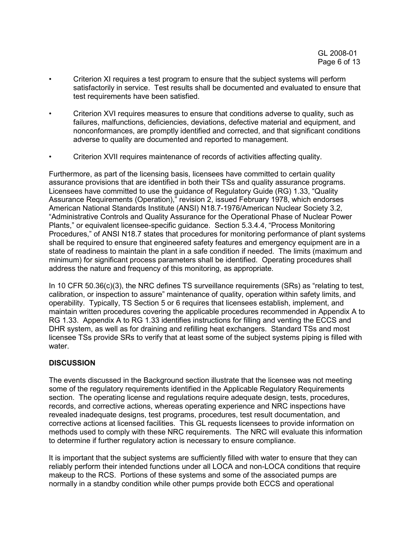- Criterion XI requires a test program to ensure that the subject systems will perform satisfactorily in service. Test results shall be documented and evaluated to ensure that test requirements have been satisfied.
- Criterion XVI requires measures to ensure that conditions adverse to quality, such as failures, malfunctions, deficiencies, deviations, defective material and equipment, and nonconformances, are promptly identified and corrected, and that significant conditions adverse to quality are documented and reported to management.
- Criterion XVII requires maintenance of records of activities affecting quality.

Furthermore, as part of the licensing basis, licensees have committed to certain quality assurance provisions that are identified in both their TSs and quality assurance programs. Licensees have committed to use the guidance of Regulatory Guide (RG) 1.33, "Quality Assurance Requirements (Operation)," revision 2, issued February 1978, which endorses American National Standards Institute (ANSI) N18.7-1976/American Nuclear Society 3.2, "Administrative Controls and Quality Assurance for the Operational Phase of Nuclear Power Plants," or equivalent licensee-specific guidance. Section 5.3.4.4, "Process Monitoring Procedures," of ANSI N18.7 states that procedures for monitoring performance of plant systems shall be required to ensure that engineered safety features and emergency equipment are in a state of readiness to maintain the plant in a safe condition if needed. The limits (maximum and minimum) for significant process parameters shall be identified. Operating procedures shall address the nature and frequency of this monitoring, as appropriate.

In 10 CFR 50.36(c)(3), the NRC defines TS surveillance requirements (SRs) as "relating to test, calibration, or inspection to assure" maintenance of quality, operation within safety limits, and operability. Typically, TS Section 5 or 6 requires that licensees establish, implement, and maintain written procedures covering the applicable procedures recommended in Appendix A to RG 1.33. Appendix A to RG 1.33 identifies instructions for filling and venting the ECCS and DHR system, as well as for draining and refilling heat exchangers. Standard TSs and most licensee TSs provide SRs to verify that at least some of the subject systems piping is filled with water.

# **DISCUSSION**

The events discussed in the Background section illustrate that the licensee was not meeting some of the regulatory requirements identified in the Applicable Regulatory Requirements section. The operating license and regulations require adequate design, tests, procedures, records, and corrective actions, whereas operating experience and NRC inspections have revealed inadequate designs, test programs, procedures, test result documentation, and corrective actions at licensed facilities. This GL requests licensees to provide information on methods used to comply with these NRC requirements. The NRC will evaluate this information to determine if further regulatory action is necessary to ensure compliance.

It is important that the subject systems are sufficiently filled with water to ensure that they can reliably perform their intended functions under all LOCA and non-LOCA conditions that require makeup to the RCS. Portions of these systems and some of the associated pumps are normally in a standby condition while other pumps provide both ECCS and operational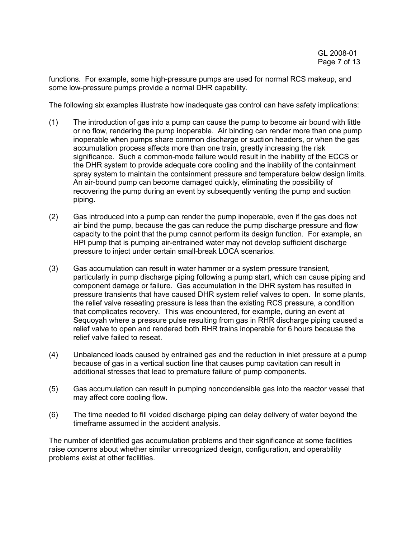functions. For example, some high-pressure pumps are used for normal RCS makeup, and some low-pressure pumps provide a normal DHR capability.

The following six examples illustrate how inadequate gas control can have safety implications:

- (1) The introduction of gas into a pump can cause the pump to become air bound with little or no flow, rendering the pump inoperable. Air binding can render more than one pump inoperable when pumps share common discharge or suction headers, or when the gas accumulation process affects more than one train, greatly increasing the risk significance. Such a common-mode failure would result in the inability of the ECCS or the DHR system to provide adequate core cooling and the inability of the containment spray system to maintain the containment pressure and temperature below design limits. An air-bound pump can become damaged quickly, eliminating the possibility of recovering the pump during an event by subsequently venting the pump and suction piping.
- (2) Gas introduced into a pump can render the pump inoperable, even if the gas does not air bind the pump, because the gas can reduce the pump discharge pressure and flow capacity to the point that the pump cannot perform its design function. For example, an HPI pump that is pumping air-entrained water may not develop sufficient discharge pressure to inject under certain small-break LOCA scenarios.
- (3) Gas accumulation can result in water hammer or a system pressure transient, particularly in pump discharge piping following a pump start, which can cause piping and component damage or failure. Gas accumulation in the DHR system has resulted in pressure transients that have caused DHR system relief valves to open. In some plants, the relief valve reseating pressure is less than the existing RCS pressure, a condition that complicates recovery. This was encountered, for example, during an event at Sequoyah where a pressure pulse resulting from gas in RHR discharge piping caused a relief valve to open and rendered both RHR trains inoperable for 6 hours because the relief valve failed to reseat.
- (4) Unbalanced loads caused by entrained gas and the reduction in inlet pressure at a pump because of gas in a vertical suction line that causes pump cavitation can result in additional stresses that lead to premature failure of pump components.
- (5) Gas accumulation can result in pumping noncondensible gas into the reactor vessel that may affect core cooling flow.
- (6) The time needed to fill voided discharge piping can delay delivery of water beyond the timeframe assumed in the accident analysis.

The number of identified gas accumulation problems and their significance at some facilities raise concerns about whether similar unrecognized design, configuration, and operability problems exist at other facilities.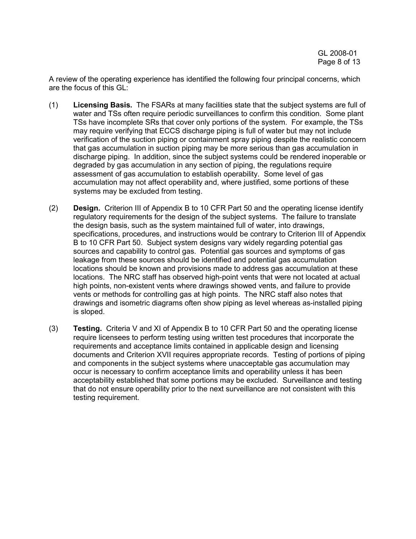A review of the operating experience has identified the following four principal concerns, which are the focus of this GL:

- (1) **Licensing Basis.** The FSARs at many facilities state that the subject systems are full of water and TSs often require periodic surveillances to confirm this condition. Some plant TSs have incomplete SRs that cover only portions of the system. For example, the TSs may require verifying that ECCS discharge piping is full of water but may not include verification of the suction piping or containment spray piping despite the realistic concern that gas accumulation in suction piping may be more serious than gas accumulation in discharge piping. In addition, since the subject systems could be rendered inoperable or degraded by gas accumulation in any section of piping, the regulations require assessment of gas accumulation to establish operability. Some level of gas accumulation may not affect operability and, where justified, some portions of these systems may be excluded from testing.
- (2) **Design.** Criterion III of Appendix B to 10 CFR Part 50 and the operating license identify regulatory requirements for the design of the subject systems. The failure to translate the design basis, such as the system maintained full of water, into drawings, specifications, procedures, and instructions would be contrary to Criterion III of Appendix B to 10 CFR Part 50. Subject system designs vary widely regarding potential gas sources and capability to control gas. Potential gas sources and symptoms of gas leakage from these sources should be identified and potential gas accumulation locations should be known and provisions made to address gas accumulation at these locations. The NRC staff has observed high-point vents that were not located at actual high points, non-existent vents where drawings showed vents, and failure to provide vents or methods for controlling gas at high points. The NRC staff also notes that drawings and isometric diagrams often show piping as level whereas as-installed piping is sloped.
- (3) **Testing.** Criteria V and XI of Appendix B to 10 CFR Part 50 and the operating license require licensees to perform testing using written test procedures that incorporate the requirements and acceptance limits contained in applicable design and licensing documents and Criterion XVII requires appropriate records. Testing of portions of piping and components in the subject systems where unacceptable gas accumulation may occur is necessary to confirm acceptance limits and operability unless it has been acceptability established that some portions may be excluded. Surveillance and testing that do not ensure operability prior to the next surveillance are not consistent with this testing requirement.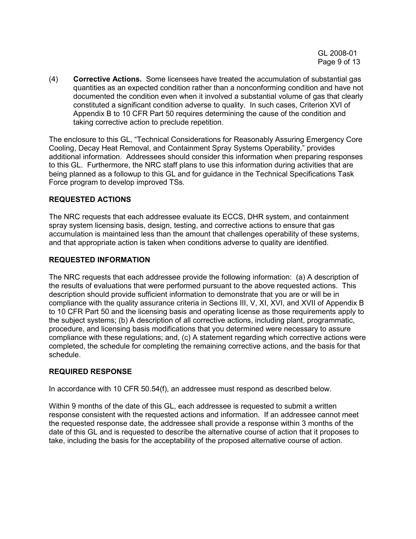(4) **Corrective Actions.** Some licensees have treated the accumulation of substantial gas quantities as an expected condition rather than a nonconforming condition and have not documented the condition even when it involved a substantial volume of gas that clearly constituted a significant condition adverse to quality. In such cases, Criterion XVI of Appendix B to 10 CFR Part 50 requires determining the cause of the condition and taking corrective action to preclude repetition.

The enclosure to this GL, "Technical Considerations for Reasonably Assuring Emergency Core Cooling, Decay Heat Removal, and Containment Spray Systems Operability," provides additional information. Addressees should consider this information when preparing responses to this GL. Furthermore, the NRC staff plans to use this information during activities that are being planned as a followup to this GL and for guidance in the Technical Specifications Task Force program to develop improved TSs.

## **REQUESTED ACTIONS**

The NRC requests that each addressee evaluate its ECCS, DHR system, and containment spray system licensing basis, design, testing, and corrective actions to ensure that gas accumulation is maintained less than the amount that challenges operability of these systems, and that appropriate action is taken when conditions adverse to quality are identified.

### **REQUESTED INFORMATION**

The NRC requests that each addressee provide the following information: (a) A description of the results of evaluations that were performed pursuant to the above requested actions. This description should provide sufficient information to demonstrate that you are or will be in compliance with the quality assurance criteria in Sections III, V, XI, XVI, and XVII of Appendix B to 10 CFR Part 50 and the licensing basis and operating license as those requirements apply to the subject systems; (b) A description of all corrective actions, including plant, programmatic, procedure, and licensing basis modifications that you determined were necessary to assure compliance with these regulations; and, (c) A statement regarding which corrective actions were completed, the schedule for completing the remaining corrective actions, and the basis for that schedule.

#### **REQUIRED RESPONSE**

In accordance with 10 CFR 50.54(f), an addressee must respond as described below.

Within 9 months of the date of this GL, each addressee is requested to submit a written response consistent with the requested actions and information. If an addressee cannot meet the requested response date, the addressee shall provide a response within 3 months of the date of this GL and is requested to describe the alternative course of action that it proposes to take, including the basis for the acceptability of the proposed alternative course of action.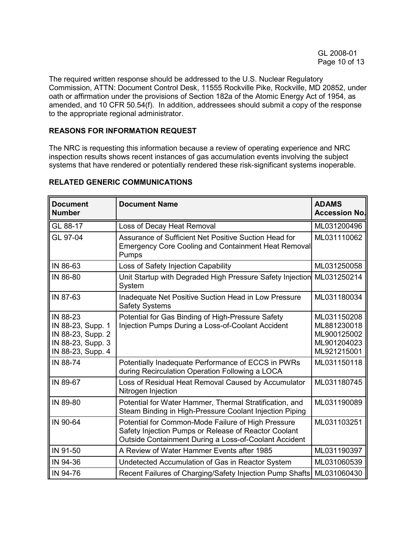The required written response should be addressed to the U.S. Nuclear Regulatory Commission, ATTN: Document Control Desk, 11555 Rockville Pike, Rockville, MD 20852, under oath or affirmation under the provisions of Section 182a of the Atomic Energy Act of 1954, as amended, and 10 CFR 50.54(f). In addition, addressees should submit a copy of the response to the appropriate regional administrator.

# **REASONS FOR INFORMATION REQUEST**

The NRC is requesting this information because a review of operating experience and NRC inspection results shows recent instances of gas accumulation events involving the subject systems that have rendered or potentially rendered these risk-significant systems inoperable.

| <b>Document</b><br><b>Number</b>                                                             | <b>Document Name</b>                                                                                                                                                | <b>ADAMS</b><br><b>Accession No.</b>                                    |
|----------------------------------------------------------------------------------------------|---------------------------------------------------------------------------------------------------------------------------------------------------------------------|-------------------------------------------------------------------------|
| GL 88-17                                                                                     | Loss of Decay Heat Removal                                                                                                                                          | ML031200496                                                             |
| GL 97-04                                                                                     | Assurance of Sufficient Net Positive Suction Head for<br><b>Emergency Core Cooling and Containment Heat Removal</b><br>Pumps                                        | ML031110062                                                             |
| IN 86-63                                                                                     | Loss of Safety Injection Capability                                                                                                                                 | ML031250058                                                             |
| IN 86-80                                                                                     | Unit Startup with Degraded High Pressure Safety Injection ML031250214<br>System                                                                                     |                                                                         |
| IN 87-63                                                                                     | Inadequate Net Positive Suction Head in Low Pressure<br><b>Safety Systems</b>                                                                                       | ML031180034                                                             |
| IN 88-23<br>IN 88-23, Supp. 1<br>IN 88-23, Supp. 2<br>IN 88-23, Supp. 3<br>IN 88-23, Supp. 4 | Potential for Gas Binding of High-Pressure Safety<br>Injection Pumps During a Loss-of-Coolant Accident                                                              | ML031150208<br>ML881230018<br>ML900125002<br>ML901204023<br>ML921215001 |
| IN 88-74                                                                                     | Potentially Inadequate Performance of ECCS in PWRs<br>during Recirculation Operation Following a LOCA                                                               | ML031150118                                                             |
| IN 89-67                                                                                     | Loss of Residual Heat Removal Caused by Accumulator<br>Nitrogen Injection                                                                                           | ML031180745                                                             |
| IN 89-80                                                                                     | Potential for Water Hammer, Thermal Stratification, and<br>Steam Binding in High-Pressure Coolant Injection Piping                                                  | ML031190089                                                             |
| IN 90-64                                                                                     | Potential for Common-Mode Failure of High Pressure<br>Safety Injection Pumps or Release of Reactor Coolant<br>Outside Containment During a Loss-of-Coolant Accident | ML031103251                                                             |
| IN 91-50                                                                                     | A Review of Water Hammer Events after 1985                                                                                                                          | ML031190397                                                             |
| IN 94-36                                                                                     | Undetected Accumulation of Gas in Reactor System                                                                                                                    | ML031060539                                                             |
| IN 94-76                                                                                     | Recent Failures of Charging/Safety Injection Pump Shafts                                                                                                            | ML031060430                                                             |

### **RELATED GENERIC COMMUNICATIONS**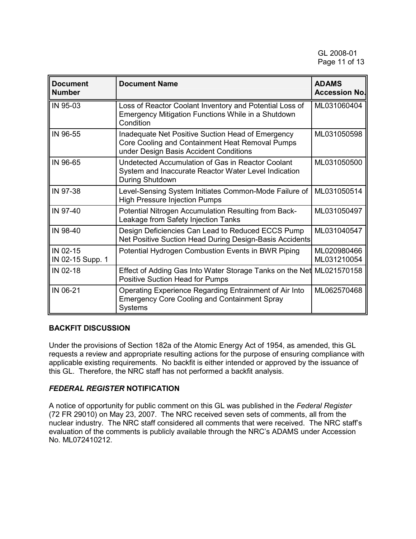| <b>Document</b><br><b>Number</b> | <b>Document Name</b>                                                                                                                           | <b>ADAMS</b><br><b>Accession No.</b> |
|----------------------------------|------------------------------------------------------------------------------------------------------------------------------------------------|--------------------------------------|
| IN 95-03                         | Loss of Reactor Coolant Inventory and Potential Loss of<br>Emergency Mitigation Functions While in a Shutdown<br>Condition                     | ML031060404                          |
| IN 96-55                         | Inadequate Net Positive Suction Head of Emergency<br>Core Cooling and Containment Heat Removal Pumps<br>under Design Basis Accident Conditions | ML031050598                          |
| IN 96-65                         | Undetected Accumulation of Gas in Reactor Coolant<br>System and Inaccurate Reactor Water Level Indication<br>During Shutdown                   | ML031050500                          |
| IN 97-38                         | Level-Sensing System Initiates Common-Mode Failure of<br><b>High Pressure Injection Pumps</b>                                                  | ML031050514                          |
| IN 97-40                         | Potential Nitrogen Accumulation Resulting from Back-<br>Leakage from Safety Injection Tanks                                                    | ML031050497                          |
| IN 98-40                         | Design Deficiencies Can Lead to Reduced ECCS Pump<br>Net Positive Suction Head During Design-Basis Accidents                                   | ML031040547                          |
| IN 02-15<br>IN 02-15 Supp. 1     | Potential Hydrogen Combustion Events in BWR Piping                                                                                             | ML020980466<br>ML031210054           |
| IN 02-18                         | Effect of Adding Gas Into Water Storage Tanks on the Net ML021570158<br>Positive Suction Head for Pumps                                        |                                      |
| IN 06-21                         | Operating Experience Regarding Entrainment of Air Into<br><b>Emergency Core Cooling and Containment Spray</b><br><b>Systems</b>                | ML062570468                          |

## **BACKFIT DISCUSSION**

Under the provisions of Section 182a of the Atomic Energy Act of 1954, as amended, this GL requests a review and appropriate resulting actions for the purpose of ensuring compliance with applicable existing requirements. No backfit is either intended or approved by the issuance of this GL. Therefore, the NRC staff has not performed a backfit analysis.

#### *FEDERAL REGISTER* **NOTIFICATION**

A notice of opportunity for public comment on this GL was published in the *Federal Register* (72 FR 29010) on May 23, 2007. The NRC received seven sets of comments, all from the nuclear industry. The NRC staff considered all comments that were received. The NRC staff's evaluation of the comments is publicly available through the NRC's ADAMS under Accession No. ML072410212.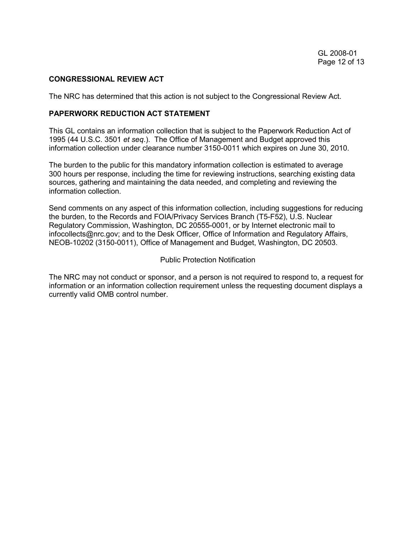### **CONGRESSIONAL REVIEW ACT**

The NRC has determined that this action is not subject to the Congressional Review Act.

### **PAPERWORK REDUCTION ACT STATEMENT**

This GL contains an information collection that is subject to the Paperwork Reduction Act of 1995 (44 U.S.C. 3501 *et seq*.). The Office of Management and Budget approved this information collection under clearance number 3150-0011 which expires on June 30, 2010.

The burden to the public for this mandatory information collection is estimated to average 300 hours per response, including the time for reviewing instructions, searching existing data sources, gathering and maintaining the data needed, and completing and reviewing the information collection.

Send comments on any aspect of this information collection, including suggestions for reducing the burden, to the Records and FOIA/Privacy Services Branch (T5-F52), U.S. Nuclear Regulatory Commission, Washington, DC 20555-0001, or by Internet electronic mail to infocollects@nrc.gov; and to the Desk Officer, Office of Information and Regulatory Affairs, NEOB-10202 (3150-0011), Office of Management and Budget, Washington, DC 20503.

#### Public Protection Notification

The NRC may not conduct or sponsor, and a person is not required to respond to, a request for information or an information collection requirement unless the requesting document displays a currently valid OMB control number.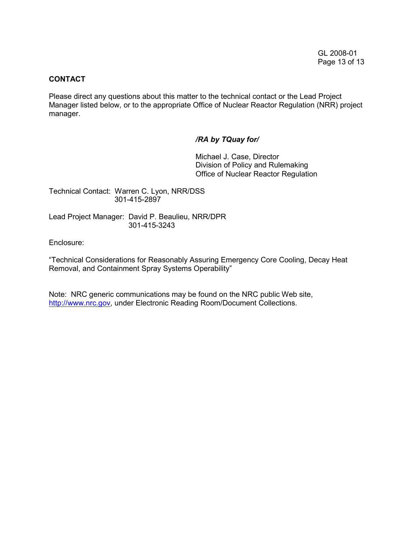#### **CONTACT**

Please direct any questions about this matter to the technical contact or the Lead Project Manager listed below, or to the appropriate Office of Nuclear Reactor Regulation (NRR) project manager.

### */RA by TQuay for/*

 Michael J. Case, Director Division of Policy and Rulemaking Office of Nuclear Reactor Regulation

Technical Contact: Warren C. Lyon, NRR/DSS 301-415-2897

Lead Project Manager: David P. Beaulieu, NRR/DPR 301-415-3243

Enclosure:

"Technical Considerations for Reasonably Assuring Emergency Core Cooling, Decay Heat Removal, and Containment Spray Systems Operability"

Note: NRC generic communications may be found on the NRC public Web site, http://www.nrc.gov, under Electronic Reading Room/Document Collections.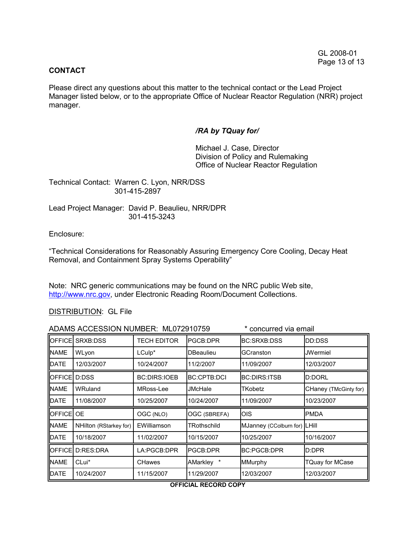#### **CONTACT**

Please direct any questions about this matter to the technical contact or the Lead Project Manager listed below, or to the appropriate Office of Nuclear Reactor Regulation (NRR) project manager.

#### */RA by TQuay for/*

 Michael J. Case, Director Division of Policy and Rulemaking Office of Nuclear Reactor Regulation

Technical Contact: Warren C. Lyon, NRR/DSS 301-415-2897

Lead Project Manager: David P. Beaulieu, NRR/DPR 301-415-3243

Enclosure:

"Technical Considerations for Reasonably Assuring Emergency Core Cooling, Decay Heat Removal, and Containment Spray Systems Operability"

Note: NRC generic communications may be found on the NRC public Web site, http://www.nrc.gov, under Electronic Reading Room/Document Collections.

#### DISTRIBUTION: GL File

|                     | ADAMS ACCESSION NUMBER: ML072910759 |                     | * concurred via email |                              |                        |
|---------------------|-------------------------------------|---------------------|-----------------------|------------------------------|------------------------|
|                     | <b>IOFFICE SRXB:DSS</b>             | <b>TECH EDITOR</b>  | PGCB:DPR              | <b>BC:SRXB:DSS</b>           | DD:DSS                 |
| <b>INAME</b>        | WLyon                               | LCulp*              | DBeaulieu             | GCranston                    | JWermiel               |
| <b>DATE</b>         | 12/03/2007                          | 10/24/2007          | 11/2/2007             | 11/09/2007                   | 12/03/2007             |
| <b>OFFICE D:DSS</b> |                                     | <b>BC:DIRS:IOEB</b> | BC:CPTB:DCI           | <b>BC:DIRS:ITSB</b>          | D:DORL                 |
| <b>INAME</b>        | WRuland                             | MRoss-Lee           | JMcHale               | TKobetz                      | CHaney (TMcGinty for)  |
| <b>DATE</b>         | 11/08/2007                          | 10/25/2007          | 10/24/2007            | 11/09/2007                   | 10/23/2007             |
| <b>OFFICE OE</b>    |                                     | OGC (NLO)           | OGC (SBREFA)          | lois                         | <b>PMDA</b>            |
| <b>INAME</b>        | NHilton (RStarkey for)              | EWilliamson         | TRothschild           | MJanney (CColburn for) LHill |                        |
| <b>DATE</b>         | 10/18/2007                          | 11/02/2007          | 10/15/2007            | 10/25/2007                   | 10/16/2007             |
| <b>OFFICEI</b>      | D:RES:DRA                           | LA:PGCB:DPR         | PGCB:DPR              | <b>BC:PGCB:DPR</b>           | D:DPR                  |
| <b>INAME</b>        | CLui*                               | <b>CHawes</b>       | AMarkley *            | <b>MMurphy</b>               | <b>TQuay for MCase</b> |
| <b>DATE</b>         | 10/24/2007                          | 11/15/2007          | 11/29/2007            | 12/03/2007                   | 12/03/2007             |

**OFFICIAL RECORD COPY**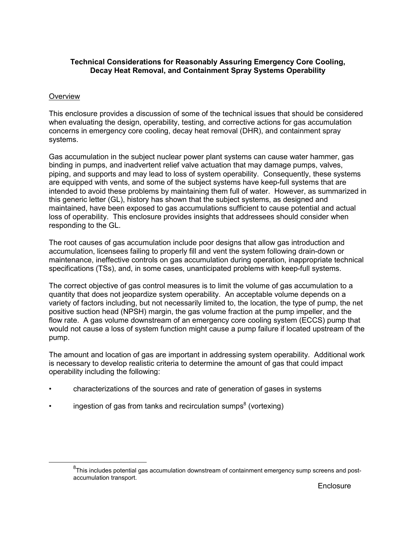# **Technical Considerations for Reasonably Assuring Emergency Core Cooling, Decay Heat Removal, and Containment Spray Systems Operability**

# **Overview**

This enclosure provides a discussion of some of the technical issues that should be considered when evaluating the design, operability, testing, and corrective actions for gas accumulation concerns in emergency core cooling, decay heat removal (DHR), and containment spray systems.

Gas accumulation in the subject nuclear power plant systems can cause water hammer, gas binding in pumps, and inadvertent relief valve actuation that may damage pumps, valves, piping, and supports and may lead to loss of system operability. Consequently, these systems are equipped with vents, and some of the subject systems have keep-full systems that are intended to avoid these problems by maintaining them full of water. However, as summarized in this generic letter (GL), history has shown that the subject systems, as designed and maintained, have been exposed to gas accumulations sufficient to cause potential and actual loss of operability. This enclosure provides insights that addressees should consider when responding to the GL.

The root causes of gas accumulation include poor designs that allow gas introduction and accumulation, licensees failing to properly fill and vent the system following drain-down or maintenance, ineffective controls on gas accumulation during operation, inappropriate technical specifications (TSs), and, in some cases, unanticipated problems with keep-full systems.

The correct objective of gas control measures is to limit the volume of gas accumulation to a quantity that does not jeopardize system operability. An acceptable volume depends on a variety of factors including, but not necessarily limited to, the location, the type of pump, the net positive suction head (NPSH) margin, the gas volume fraction at the pump impeller, and the flow rate. A gas volume downstream of an emergency core cooling system (ECCS) pump that would not cause a loss of system function might cause a pump failure if located upstream of the pump.

The amount and location of gas are important in addressing system operability. Additional work is necessary to develop realistic criteria to determine the amount of gas that could impact operability including the following:

- characterizations of the sources and rate of generation of gases in systems
- $\cdot$  ingestion of gas from tanks and recirculation sumps<sup>8</sup> (vortexing)

 <sup>8</sup>  ${}^{8}$ This includes potential gas accumulation downstream of containment emergency sump screens and postaccumulation transport.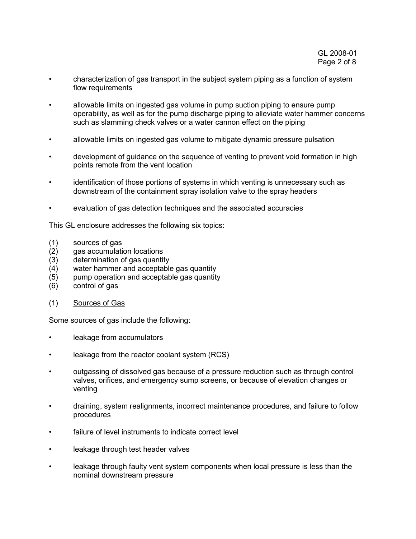- characterization of gas transport in the subject system piping as a function of system flow requirements
- allowable limits on ingested gas volume in pump suction piping to ensure pump operability, as well as for the pump discharge piping to alleviate water hammer concerns such as slamming check valves or a water cannon effect on the piping
- allowable limits on ingested gas volume to mitigate dynamic pressure pulsation
- development of guidance on the sequence of venting to prevent void formation in high points remote from the vent location
- identification of those portions of systems in which venting is unnecessary such as downstream of the containment spray isolation valve to the spray headers
- evaluation of gas detection techniques and the associated accuracies

This GL enclosure addresses the following six topics:

- (1) sources of gas
- qas accumulation locations
- (3) determination of gas quantity
- (4) water hammer and acceptable gas quantity
- (5) pump operation and acceptable gas quantity
- (6) control of gas
- (1) Sources of Gas

Some sources of gas include the following:

- leakage from accumulators
- leakage from the reactor coolant system (RCS)
- outgassing of dissolved gas because of a pressure reduction such as through control valves, orifices, and emergency sump screens, or because of elevation changes or venting
- draining, system realignments, incorrect maintenance procedures, and failure to follow procedures
- failure of level instruments to indicate correct level
- leakage through test header valves
- leakage through faulty vent system components when local pressure is less than the nominal downstream pressure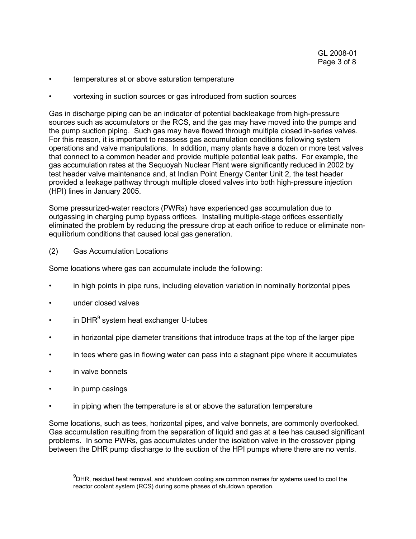- temperatures at or above saturation temperature
- vortexing in suction sources or gas introduced from suction sources

Gas in discharge piping can be an indicator of potential backleakage from high-pressure sources such as accumulators or the RCS, and the gas may have moved into the pumps and the pump suction piping. Such gas may have flowed through multiple closed in-series valves. For this reason, it is important to reassess gas accumulation conditions following system operations and valve manipulations. In addition, many plants have a dozen or more test valves that connect to a common header and provide multiple potential leak paths. For example, the gas accumulation rates at the Sequoyah Nuclear Plant were significantly reduced in 2002 by test header valve maintenance and, at Indian Point Energy Center Unit 2, the test header provided a leakage pathway through multiple closed valves into both high-pressure injection (HPI) lines in January 2005.

Some pressurized-water reactors (PWRs) have experienced gas accumulation due to outgassing in charging pump bypass orifices. Installing multiple-stage orifices essentially eliminated the problem by reducing the pressure drop at each orifice to reduce or eliminate nonequilibrium conditions that caused local gas generation.

### (2) Gas Accumulation Locations

Some locations where gas can accumulate include the following:

- in high points in pipe runs, including elevation variation in nominally horizontal pipes
- under closed valves
- $\cdot$  in DHR<sup>9</sup> system heat exchanger U-tubes
- in horizontal pipe diameter transitions that introduce traps at the top of the larger pipe
- in tees where gas in flowing water can pass into a stagnant pipe where it accumulates
- in valve bonnets
- in pump casings
- in piping when the temperature is at or above the saturation temperature

Some locations, such as tees, horizontal pipes, and valve bonnets, are commonly overlooked. Gas accumulation resulting from the separation of liquid and gas at a tee has caused significant problems. In some PWRs, gas accumulates under the isolation valve in the crossover piping between the DHR pump discharge to the suction of the HPI pumps where there are no vents.

 $\overline{\qquad \qquad }$  9  $<sup>9</sup>$ DHR, residual heat removal, and shutdown cooling are common names for systems used to cool the</sup> reactor coolant system (RCS) during some phases of shutdown operation.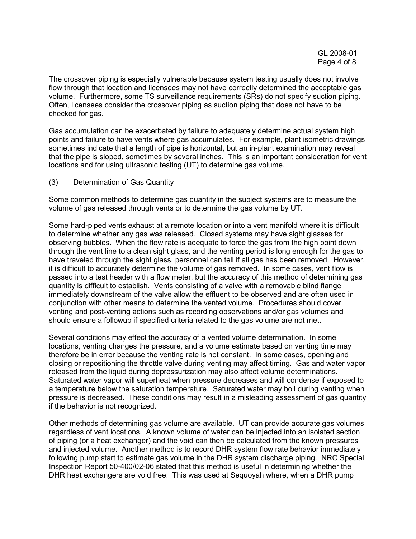The crossover piping is especially vulnerable because system testing usually does not involve flow through that location and licensees may not have correctly determined the acceptable gas volume. Furthermore, some TS surveillance requirements (SRs) do not specify suction piping. Often, licensees consider the crossover piping as suction piping that does not have to be checked for gas.

Gas accumulation can be exacerbated by failure to adequately determine actual system high points and failure to have vents where gas accumulates. For example, plant isometric drawings sometimes indicate that a length of pipe is horizontal, but an in-plant examination may reveal that the pipe is sloped, sometimes by several inches. This is an important consideration for vent locations and for using ultrasonic testing (UT) to determine gas volume.

### (3) Determination of Gas Quantity

Some common methods to determine gas quantity in the subject systems are to measure the volume of gas released through vents or to determine the gas volume by UT.

Some hard-piped vents exhaust at a remote location or into a vent manifold where it is difficult to determine whether any gas was released. Closed systems may have sight glasses for observing bubbles. When the flow rate is adequate to force the gas from the high point down through the vent line to a clean sight glass, and the venting period is long enough for the gas to have traveled through the sight glass, personnel can tell if all gas has been removed. However, it is difficult to accurately determine the volume of gas removed. In some cases, vent flow is passed into a test header with a flow meter, but the accuracy of this method of determining gas quantity is difficult to establish. Vents consisting of a valve with a removable blind flange immediately downstream of the valve allow the effluent to be observed and are often used in conjunction with other means to determine the vented volume. Procedures should cover venting and post-venting actions such as recording observations and/or gas volumes and should ensure a followup if specified criteria related to the gas volume are not met.

Several conditions may effect the accuracy of a vented volume determination. In some locations, venting changes the pressure, and a volume estimate based on venting time may therefore be in error because the venting rate is not constant. In some cases, opening and closing or repositioning the throttle valve during venting may affect timing. Gas and water vapor released from the liquid during depressurization may also affect volume determinations. Saturated water vapor will superheat when pressure decreases and will condense if exposed to a temperature below the saturation temperature. Saturated water may boil during venting when pressure is decreased. These conditions may result in a misleading assessment of gas quantity if the behavior is not recognized.

Other methods of determining gas volume are available. UT can provide accurate gas volumes regardless of vent locations. A known volume of water can be injected into an isolated section of piping (or a heat exchanger) and the void can then be calculated from the known pressures and injected volume. Another method is to record DHR system flow rate behavior immediately following pump start to estimate gas volume in the DHR system discharge piping. NRC Special Inspection Report 50-400/02-06 stated that this method is useful in determining whether the DHR heat exchangers are void free. This was used at Sequoyah where, when a DHR pump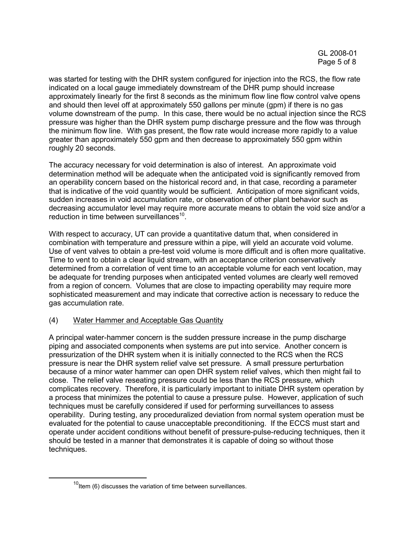was started for testing with the DHR system configured for injection into the RCS, the flow rate indicated on a local gauge immediately downstream of the DHR pump should increase approximately linearly for the first 8 seconds as the minimum flow line flow control valve opens and should then level off at approximately 550 gallons per minute (gpm) if there is no gas volume downstream of the pump. In this case, there would be no actual injection since the RCS pressure was higher than the DHR system pump discharge pressure and the flow was through the minimum flow line. With gas present, the flow rate would increase more rapidly to a value greater than approximately 550 gpm and then decrease to approximately 550 gpm within roughly 20 seconds.

The accuracy necessary for void determination is also of interest. An approximate void determination method will be adequate when the anticipated void is significantly removed from an operability concern based on the historical record and, in that case, recording a parameter that is indicative of the void quantity would be sufficient. Anticipation of more significant voids, sudden increases in void accumulation rate, or observation of other plant behavior such as decreasing accumulator level may require more accurate means to obtain the void size and/or a reduction in time between surveillances<sup>10</sup>.

With respect to accuracy, UT can provide a quantitative datum that, when considered in combination with temperature and pressure within a pipe, will yield an accurate void volume. Use of vent valves to obtain a pre-test void volume is more difficult and is often more qualitative. Time to vent to obtain a clear liquid stream, with an acceptance criterion conservatively determined from a correlation of vent time to an acceptable volume for each vent location, may be adequate for trending purposes when anticipated vented volumes are clearly well removed from a region of concern. Volumes that are close to impacting operability may require more sophisticated measurement and may indicate that corrective action is necessary to reduce the gas accumulation rate.

## (4) Water Hammer and Acceptable Gas Quantity

A principal water-hammer concern is the sudden pressure increase in the pump discharge piping and associated components when systems are put into service. Another concern is pressurization of the DHR system when it is initially connected to the RCS when the RCS pressure is near the DHR system relief valve set pressure. A small pressure perturbation because of a minor water hammer can open DHR system relief valves, which then might fail to close. The relief valve reseating pressure could be less than the RCS pressure, which complicates recovery. Therefore, it is particularly important to initiate DHR system operation by a process that minimizes the potential to cause a pressure pulse. However, application of such techniques must be carefully considered if used for performing surveillances to assess operability. During testing, any proceduralized deviation from normal system operation must be evaluated for the potential to cause unacceptable preconditioning. If the ECCS must start and operate under accident conditions without benefit of pressure-pulse-reducing techniques, then it should be tested in a manner that demonstrates it is capable of doing so without those techniques.

 $10$ <sup>10</sup> Item (6) discusses the variation of time between surveillances.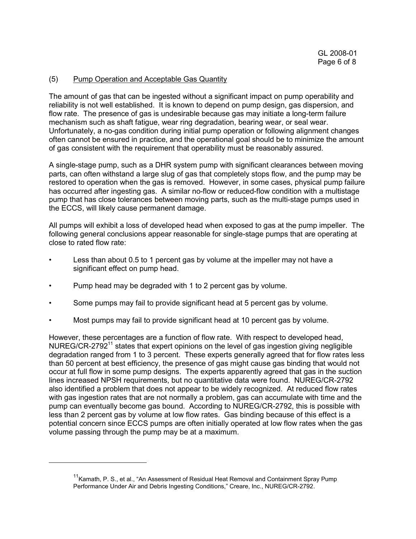#### (5) Pump Operation and Acceptable Gas Quantity

The amount of gas that can be ingested without a significant impact on pump operability and reliability is not well established. It is known to depend on pump design, gas dispersion, and flow rate. The presence of gas is undesirable because gas may initiate a long-term failure mechanism such as shaft fatigue, wear ring degradation, bearing wear, or seal wear. Unfortunately, a no-gas condition during initial pump operation or following alignment changes often cannot be ensured in practice, and the operational goal should be to minimize the amount of gas consistent with the requirement that operability must be reasonably assured.

A single-stage pump, such as a DHR system pump with significant clearances between moving parts, can often withstand a large slug of gas that completely stops flow, and the pump may be restored to operation when the gas is removed. However, in some cases, physical pump failure has occurred after ingesting gas. A similar no-flow or reduced-flow condition with a multistage pump that has close tolerances between moving parts, such as the multi-stage pumps used in the ECCS, will likely cause permanent damage.

All pumps will exhibit a loss of developed head when exposed to gas at the pump impeller. The following general conclusions appear reasonable for single-stage pumps that are operating at close to rated flow rate:

- Less than about 0.5 to 1 percent gas by volume at the impeller may not have a significant effect on pump head.
- Pump head may be degraded with 1 to 2 percent gas by volume.

-

- Some pumps may fail to provide significant head at 5 percent gas by volume.
- Most pumps may fail to provide significant head at 10 percent gas by volume.

However, these percentages are a function of flow rate. With respect to developed head, NUREG/CR-2792<sup>11</sup> states that expert opinions on the level of gas ingestion giving negligible degradation ranged from 1 to 3 percent. These experts generally agreed that for flow rates less than 50 percent at best efficiency, the presence of gas might cause gas binding that would not occur at full flow in some pump designs. The experts apparently agreed that gas in the suction lines increased NPSH requirements, but no quantitative data were found. NUREG/CR-2792 also identified a problem that does not appear to be widely recognized. At reduced flow rates with gas ingestion rates that are not normally a problem, gas can accumulate with time and the pump can eventually become gas bound. According to NUREG/CR-2792, this is possible with less than 2 percent gas by volume at low flow rates. Gas binding because of this effect is a potential concern since ECCS pumps are often initially operated at low flow rates when the gas volume passing through the pump may be at a maximum.

<sup>&</sup>lt;sup>11</sup> Kamath, P. S., et al., "An Assessment of Residual Heat Removal and Containment Spray Pump Performance Under Air and Debris Ingesting Conditions," Creare, Inc., NUREG/CR-2792.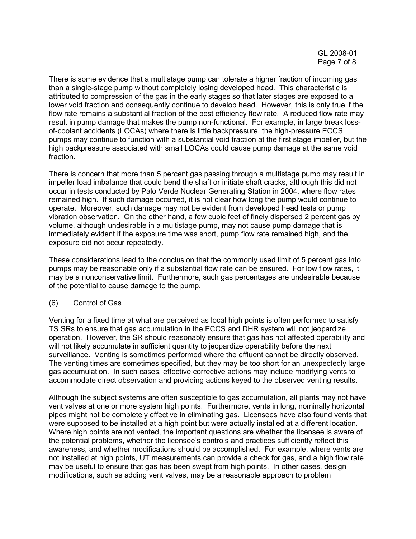There is some evidence that a multistage pump can tolerate a higher fraction of incoming gas than a single-stage pump without completely losing developed head. This characteristic is attributed to compression of the gas in the early stages so that later stages are exposed to a lower void fraction and consequently continue to develop head. However, this is only true if the flow rate remains a substantial fraction of the best efficiency flow rate. A reduced flow rate may result in pump damage that makes the pump non-functional. For example, in large break lossof-coolant accidents (LOCAs) where there is little backpressure, the high-pressure ECCS pumps may continue to function with a substantial void fraction at the first stage impeller, but the high backpressure associated with small LOCAs could cause pump damage at the same void fraction.

There is concern that more than 5 percent gas passing through a multistage pump may result in impeller load imbalance that could bend the shaft or initiate shaft cracks, although this did not occur in tests conducted by Palo Verde Nuclear Generating Station in 2004, where flow rates remained high. If such damage occurred, it is not clear how long the pump would continue to operate. Moreover, such damage may not be evident from developed head tests or pump vibration observation. On the other hand, a few cubic feet of finely dispersed 2 percent gas by volume, although undesirable in a multistage pump, may not cause pump damage that is immediately evident if the exposure time was short, pump flow rate remained high, and the exposure did not occur repeatedly.

These considerations lead to the conclusion that the commonly used limit of 5 percent gas into pumps may be reasonable only if a substantial flow rate can be ensured. For low flow rates, it may be a nonconservative limit. Furthermore, such gas percentages are undesirable because of the potential to cause damage to the pump.

## (6) Control of Gas

Venting for a fixed time at what are perceived as local high points is often performed to satisfy TS SRs to ensure that gas accumulation in the ECCS and DHR system will not jeopardize operation. However, the SR should reasonably ensure that gas has not affected operability and will not likely accumulate in sufficient quantity to jeopardize operability before the next surveillance. Venting is sometimes performed where the effluent cannot be directly observed. The venting times are sometimes specified, but they may be too short for an unexpectedly large gas accumulation. In such cases, effective corrective actions may include modifying vents to accommodate direct observation and providing actions keyed to the observed venting results.

Although the subject systems are often susceptible to gas accumulation, all plants may not have vent valves at one or more system high points. Furthermore, vents in long, nominally horizontal pipes might not be completely effective in eliminating gas. Licensees have also found vents that were supposed to be installed at a high point but were actually installed at a different location. Where high points are not vented, the important questions are whether the licensee is aware of the potential problems, whether the licensee's controls and practices sufficiently reflect this awareness, and whether modifications should be accomplished. For example, where vents are not installed at high points, UT measurements can provide a check for gas, and a high flow rate may be useful to ensure that gas has been swept from high points. In other cases, design modifications, such as adding vent valves, may be a reasonable approach to problem